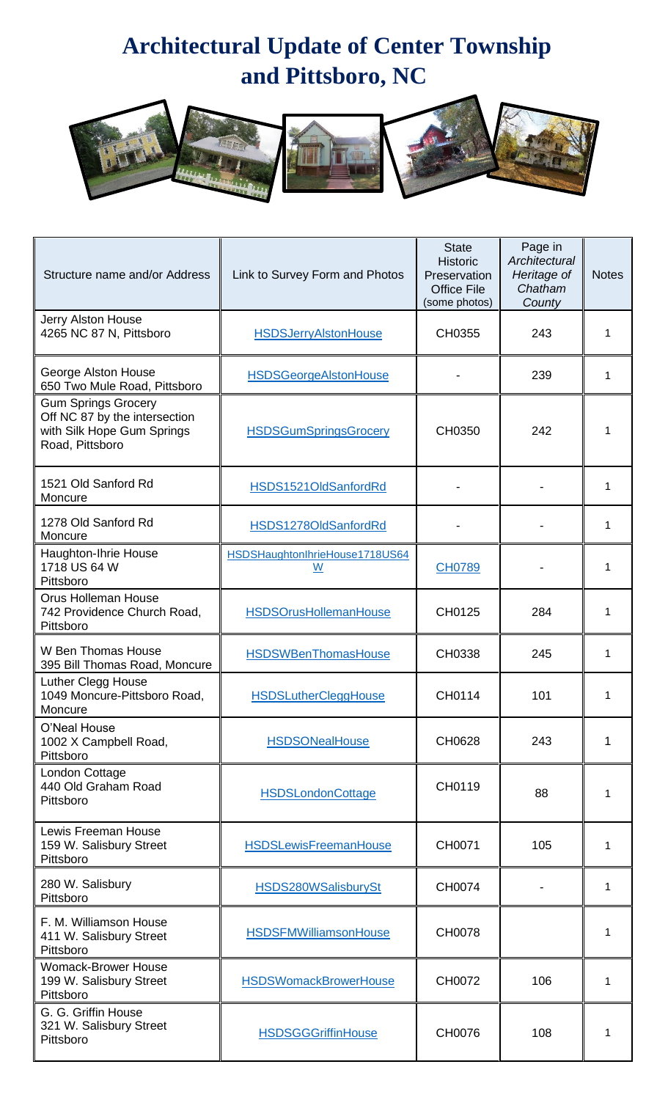## **Architectural Update of Center Township and Pittsboro, NC**



| Structure name and/or Address                                                                                | Link to Survey Form and Photos      | <b>State</b><br><b>Historic</b><br>Preservation<br><b>Office File</b><br>(some photos) | Page in<br>Architectural<br>Heritage of<br>Chatham<br>County | <b>Notes</b> |
|--------------------------------------------------------------------------------------------------------------|-------------------------------------|----------------------------------------------------------------------------------------|--------------------------------------------------------------|--------------|
| <b>Jerry Alston House</b><br>4265 NC 87 N, Pittsboro                                                         | <b>HSDSJerryAlstonHouse</b>         | CH0355                                                                                 | 243                                                          |              |
| George Alston House<br>650 Two Mule Road, Pittsboro                                                          | <b>HSDSGeorgeAlstonHouse</b>        |                                                                                        | 239                                                          |              |
| <b>Gum Springs Grocery</b><br>Off NC 87 by the intersection<br>with Silk Hope Gum Springs<br>Road, Pittsboro | <b>HSDSGumSpringsGrocery</b>        | CH0350                                                                                 | 242                                                          |              |
| 1521 Old Sanford Rd<br>Moncure                                                                               | HSDS1521OldSanfordRd                |                                                                                        |                                                              |              |
| 1278 Old Sanford Rd<br>Moncure                                                                               | HSDS1278OldSanfordRd                |                                                                                        |                                                              | 1            |
| Haughton-Ihrie House<br>1718 US 64 W<br>Pittsboro                                                            | HSDSHaughtonIhrieHouse1718US64<br>W | <b>CH0789</b>                                                                          |                                                              |              |
| <b>Orus Holleman House</b><br>742 Providence Church Road,<br>Pittsboro                                       | <b>HSDSOrusHollemanHouse</b>        | CH0125                                                                                 | 284                                                          |              |
| W Ben Thomas House<br>395 Bill Thomas Road, Moncure                                                          | <b>HSDSWBenThomasHouse</b>          | CH0338                                                                                 | 245                                                          | 1            |
| Luther Clegg House<br>1049 Moncure-Pittsboro Road,<br>Moncure                                                | <b>HSDSLutherCleggHouse</b>         | CH0114                                                                                 | 101                                                          |              |
| O'Neal House<br>1002 X Campbell Road,<br>Pittsboro                                                           | <b>HSDSONealHouse</b>               | CH0628                                                                                 | 243                                                          | 1            |
| London Cottage<br>440 Old Graham Road<br>Pittsboro                                                           | <b>HSDSLondonCottage</b>            | CH0119                                                                                 | 88                                                           |              |
| Lewis Freeman House<br>159 W. Salisbury Street<br>Pittsboro                                                  | <b>HSDSLewisFreemanHouse</b>        | CH0071                                                                                 | 105                                                          | 1            |
| 280 W. Salisbury<br>Pittsboro                                                                                | HSDS280WSalisburySt                 | CH0074                                                                                 |                                                              | 1            |
| F. M. Williamson House<br>411 W. Salisbury Street<br>Pittsboro                                               | <b>HSDSFMWilliamsonHouse</b>        | CH0078                                                                                 |                                                              |              |
| <b>Womack-Brower House</b><br>199 W. Salisbury Street<br>Pittsboro                                           | <b>HSDSWomackBrowerHouse</b>        | CH0072                                                                                 | 106                                                          | 1            |
| G. G. Griffin House<br>321 W. Salisbury Street<br>Pittsboro                                                  | <b>HSDSGGGriffinHouse</b>           | CH0076                                                                                 | 108                                                          |              |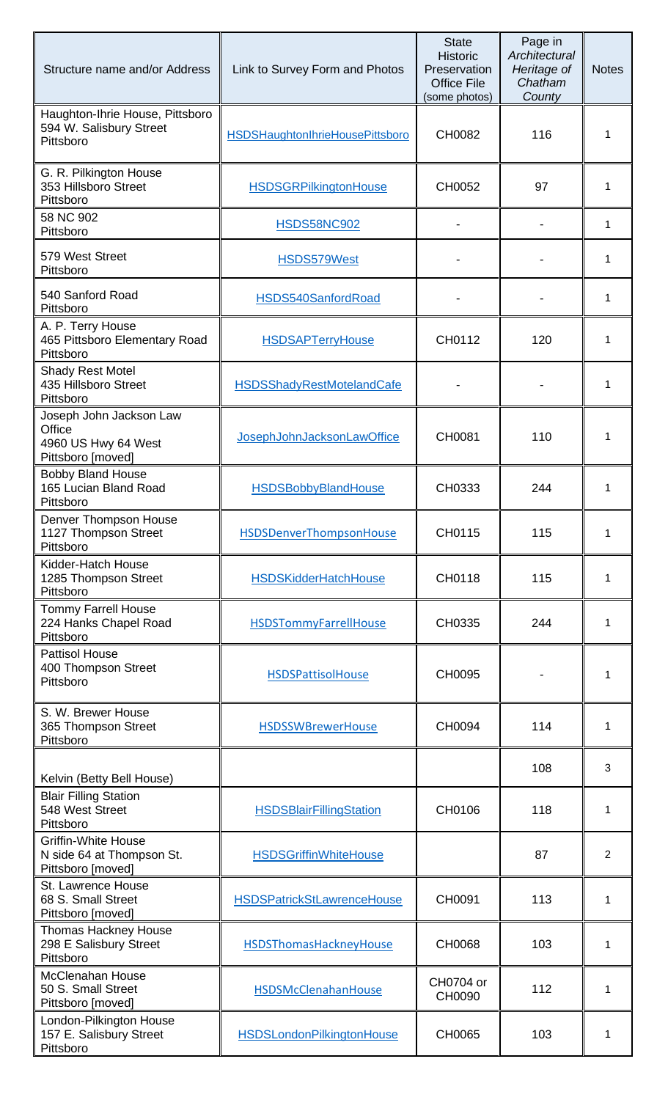| Structure name and/or Address                                                 | Link to Survey Form and Photos         | <b>State</b><br><b>Historic</b><br>Preservation<br><b>Office File</b><br>(some photos) | Page in<br>Architectural<br>Heritage of<br>Chatham<br>County | <b>Notes</b> |
|-------------------------------------------------------------------------------|----------------------------------------|----------------------------------------------------------------------------------------|--------------------------------------------------------------|--------------|
| Haughton-Ihrie House, Pittsboro<br>594 W. Salisbury Street<br>Pittsboro       | <b>HSDSHaughtonIhrieHousePittsboro</b> | CH0082                                                                                 | 116                                                          | 1            |
| G. R. Pilkington House<br>353 Hillsboro Street<br>Pittsboro                   | <b>HSDSGRPilkingtonHouse</b>           | CH0052                                                                                 | 97                                                           | 1            |
| 58 NC 902<br>Pittsboro                                                        | <b>HSDS58NC902</b>                     |                                                                                        |                                                              | 1            |
| 579 West Street<br>Pittsboro                                                  | HSDS579West                            |                                                                                        |                                                              | 1            |
| 540 Sanford Road<br>Pittsboro                                                 | HSDS540SanfordRoad                     |                                                                                        |                                                              | 1            |
| A. P. Terry House<br>465 Pittsboro Elementary Road<br>Pittsboro               | <b>HSDSAPTerryHouse</b>                | CH0112                                                                                 | 120                                                          | 1            |
| <b>Shady Rest Motel</b><br>435 Hillsboro Street<br>Pittsboro                  | <b>HSDSShadyRestMotelandCafe</b>       |                                                                                        |                                                              | 1            |
| Joseph John Jackson Law<br>Office<br>4960 US Hwy 64 West<br>Pittsboro [moved] | JosephJohnJacksonLawOffice             | CH0081                                                                                 | 110                                                          | 1            |
| <b>Bobby Bland House</b><br>165 Lucian Bland Road<br>Pittsboro                | <b>HSDSBobbyBlandHouse</b>             | CH0333                                                                                 | 244                                                          | 1            |
| Denver Thompson House<br>1127 Thompson Street<br>Pittsboro                    | HSDSDenverThompsonHouse                | CH0115                                                                                 | 115                                                          | 1            |
| Kidder-Hatch House<br>1285 Thompson Street<br>Pittsboro                       | <b>HSDSKidderHatchHouse</b>            | CH0118                                                                                 | 115                                                          | 1            |
| <b>Tommy Farrell House</b><br>224 Hanks Chapel Road<br>Pittsboro              | <b>HSDSTommyFarrellHouse</b>           | CH0335                                                                                 | 244                                                          | 1            |
| <b>Pattisol House</b><br>400 Thompson Street<br>Pittsboro                     | <b>HSDSPattisolHouse</b>               | CH0095                                                                                 |                                                              | 1            |
| S. W. Brewer House<br>365 Thompson Street<br>Pittsboro                        | <b>HSDSSWBrewerHouse</b>               | CH0094                                                                                 | 114                                                          | 1            |
| Kelvin (Betty Bell House)                                                     |                                        |                                                                                        | 108                                                          | 3            |
| <b>Blair Filling Station</b><br>548 West Street<br>Pittsboro                  | <b>HSDSBlairFillingStation</b>         | CH0106                                                                                 | 118                                                          | 1            |
| <b>Griffin-White House</b><br>N side 64 at Thompson St.<br>Pittsboro [moved]  | <b>HSDSGriffinWhiteHouse</b>           |                                                                                        | 87                                                           | 2            |
| St. Lawrence House<br>68 S. Small Street<br>Pittsboro [moved]                 | <b>HSDSPatrickStLawrenceHouse</b>      | CH0091                                                                                 | 113                                                          | 1            |
| <b>Thomas Hackney House</b><br>298 E Salisbury Street<br>Pittsboro            | HSDSThomasHackneyHouse                 | CH0068                                                                                 | 103                                                          | 1            |
| <b>McClenahan House</b><br>50 S. Small Street<br>Pittsboro [moved]            | HSDSMcClenahanHouse                    | CH0704 or<br>CH0090                                                                    | 112                                                          | 1            |
| London-Pilkington House<br>157 E. Salisbury Street<br>Pittsboro               | <b>HSDSLondonPilkingtonHouse</b>       | CH0065                                                                                 | 103                                                          | 1            |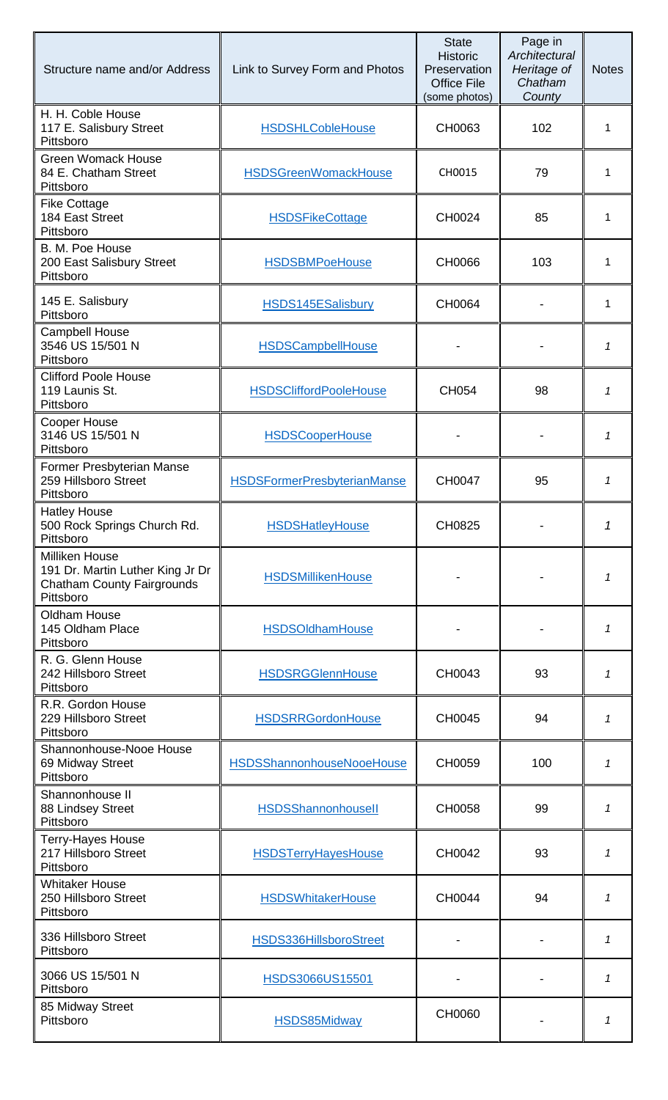| Structure name and/or Address                                                                               | Link to Survey Form and Photos     | <b>State</b><br><b>Historic</b><br>Preservation<br><b>Office File</b><br>(some photos) | Page in<br>Architectural<br>Heritage of<br>Chatham<br>County | <b>Notes</b> |
|-------------------------------------------------------------------------------------------------------------|------------------------------------|----------------------------------------------------------------------------------------|--------------------------------------------------------------|--------------|
| H. H. Coble House<br>117 E. Salisbury Street<br>Pittsboro                                                   | <b>HSDSHLCobleHouse</b>            | CH0063                                                                                 | 102                                                          | 1            |
| <b>Green Womack House</b><br>84 E. Chatham Street<br>Pittsboro                                              | <b>HSDSGreenWomackHouse</b>        | CH0015                                                                                 | 79                                                           | 1            |
| <b>Fike Cottage</b><br>184 East Street<br>Pittsboro                                                         | <b>HSDSFikeCottage</b>             | CH0024                                                                                 | 85                                                           | 1            |
| B. M. Poe House<br>200 East Salisbury Street<br>Pittsboro                                                   | <b>HSDSBMPoeHouse</b>              | CH0066                                                                                 | 103                                                          | 1            |
| 145 E. Salisbury<br>Pittsboro                                                                               | <b>HSDS145ESalisbury</b>           | CH0064                                                                                 |                                                              | 1            |
| <b>Campbell House</b><br>3546 US 15/501 N<br>Pittsboro                                                      | <b>HSDSCampbellHouse</b>           |                                                                                        |                                                              | 1            |
| <b>Clifford Poole House</b><br>119 Launis St.<br>Pittsboro                                                  | <b>HSDSCliffordPooleHouse</b>      | CH054                                                                                  | 98                                                           | 1            |
| Cooper House<br>3146 US 15/501 N<br>Pittsboro                                                               | <b>HSDSCooperHouse</b>             |                                                                                        |                                                              | 1            |
| Former Presbyterian Manse<br>259 Hillsboro Street<br>Pittsboro                                              | <b>HSDSFormerPresbyterianManse</b> | CH0047                                                                                 | 95                                                           | 1            |
| <b>Hatley House</b><br>500 Rock Springs Church Rd.<br>Pittsboro                                             | <b>HSDSHatleyHouse</b>             | CH0825                                                                                 |                                                              |              |
| <b>Milliken House</b><br>191 Dr. Martin Luther King Jr Dr<br><b>Chatham County Fairgrounds</b><br>Pittsboro | <b>HSDSMillikenHouse</b>           |                                                                                        |                                                              | 1            |
| Oldham House<br>145 Oldham Place<br>Pittsboro                                                               | <b>HSDSOldhamHouse</b>             |                                                                                        |                                                              | 1            |
| R. G. Glenn House<br>242 Hillsboro Street<br>Pittsboro                                                      | <b>HSDSRGGlennHouse</b>            | CH0043                                                                                 | 93                                                           | 1            |
| R.R. Gordon House<br>229 Hillsboro Street<br>Pittsboro                                                      | <b>HSDSRRGordonHouse</b>           | CH0045                                                                                 | 94                                                           | 1            |
| Shannonhouse-Nooe House<br>69 Midway Street<br>Pittsboro                                                    | <b>HSDSShannonhouseNooeHouse</b>   | CH0059                                                                                 | 100                                                          | 1            |
| Shannonhouse II<br>88 Lindsey Street<br>Pittsboro                                                           | <b>HSDSShannonhousell</b>          | CH0058                                                                                 | 99                                                           | 1            |
| <b>Terry-Hayes House</b><br>217 Hillsboro Street<br>Pittsboro                                               | <b>HSDSTerryHayesHouse</b>         | CH0042                                                                                 | 93                                                           | 1            |
| <b>Whitaker House</b><br>250 Hillsboro Street<br>Pittsboro                                                  | <b>HSDSWhitakerHouse</b>           | CH0044                                                                                 | 94                                                           | 1            |
| 336 Hillsboro Street<br>Pittsboro                                                                           | HSDS336HillsboroStreet             |                                                                                        |                                                              | 1            |
| 3066 US 15/501 N<br>Pittsboro                                                                               | HSDS3066US15501                    |                                                                                        |                                                              | 1            |
| 85 Midway Street<br>Pittsboro                                                                               | <b>HSDS85Midway</b>                | CH0060                                                                                 |                                                              | 1            |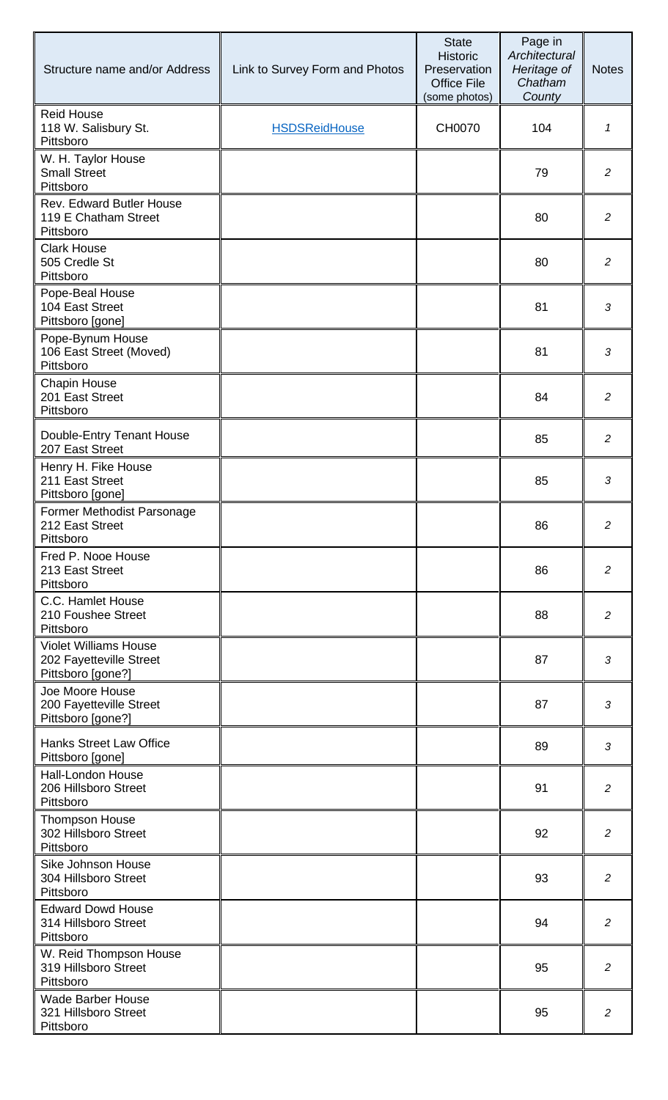| Structure name and/or Address                                                | Link to Survey Form and Photos | <b>State</b><br><b>Historic</b><br>Preservation<br><b>Office File</b><br>(some photos) | Page in<br>Architectural<br>Heritage of<br>Chatham<br>County | <b>Notes</b>   |
|------------------------------------------------------------------------------|--------------------------------|----------------------------------------------------------------------------------------|--------------------------------------------------------------|----------------|
| <b>Reid House</b><br>118 W. Salisbury St.<br>Pittsboro                       | <b>HSDSReidHouse</b>           | <b>CH0070</b>                                                                          | 104                                                          | 1              |
| W. H. Taylor House<br><b>Small Street</b><br>Pittsboro                       |                                |                                                                                        | 79                                                           | $\overline{2}$ |
| Rev. Edward Butler House<br>119 E Chatham Street<br>Pittsboro                |                                |                                                                                        | 80                                                           | $\overline{c}$ |
| <b>Clark House</b><br>505 Credle St<br>Pittsboro                             |                                |                                                                                        | 80                                                           | 2              |
| Pope-Beal House<br>104 East Street<br>Pittsboro [gone]                       |                                |                                                                                        | 81                                                           | 3              |
| Pope-Bynum House<br>106 East Street (Moved)<br>Pittsboro                     |                                |                                                                                        | 81                                                           | 3              |
| <b>Chapin House</b><br>201 East Street<br>Pittsboro                          |                                |                                                                                        | 84                                                           | $\overline{a}$ |
| Double-Entry Tenant House<br>207 East Street                                 |                                |                                                                                        | 85                                                           | 2              |
| Henry H. Fike House<br>211 East Street<br>Pittsboro [gone]                   |                                |                                                                                        | 85                                                           | 3              |
| Former Methodist Parsonage<br>212 East Street<br>Pittsboro                   |                                |                                                                                        | 86                                                           | $\overline{2}$ |
| Fred P. Nooe House<br>213 East Street<br>Pittsboro                           |                                |                                                                                        | 86                                                           | $\overline{2}$ |
| C.C. Hamlet House<br>210 Foushee Street<br>Pittsboro                         |                                |                                                                                        | 88                                                           | $\overline{2}$ |
| <b>Violet Williams House</b><br>202 Fayetteville Street<br>Pittsboro [gone?] |                                |                                                                                        | 87                                                           | 3              |
| Joe Moore House<br>200 Fayetteville Street<br>Pittsboro [gone?]              |                                |                                                                                        | 87                                                           | 3              |
| <b>Hanks Street Law Office</b><br>Pittsboro [gone]                           |                                |                                                                                        | 89                                                           | 3              |
| <b>Hall-London House</b><br>206 Hillsboro Street<br>Pittsboro                |                                |                                                                                        | 91                                                           | $\overline{2}$ |
| <b>Thompson House</b><br>302 Hillsboro Street<br>Pittsboro                   |                                |                                                                                        | 92                                                           | $\overline{2}$ |
| Sike Johnson House<br>304 Hillsboro Street<br>Pittsboro                      |                                |                                                                                        | 93                                                           | 2              |
| <b>Edward Dowd House</b><br>314 Hillsboro Street<br>Pittsboro                |                                |                                                                                        | 94                                                           | $\overline{2}$ |
| W. Reid Thompson House<br>319 Hillsboro Street<br>Pittsboro                  |                                |                                                                                        | 95                                                           | 2              |
| <b>Wade Barber House</b><br>321 Hillsboro Street<br>Pittsboro                |                                |                                                                                        | 95                                                           | 2              |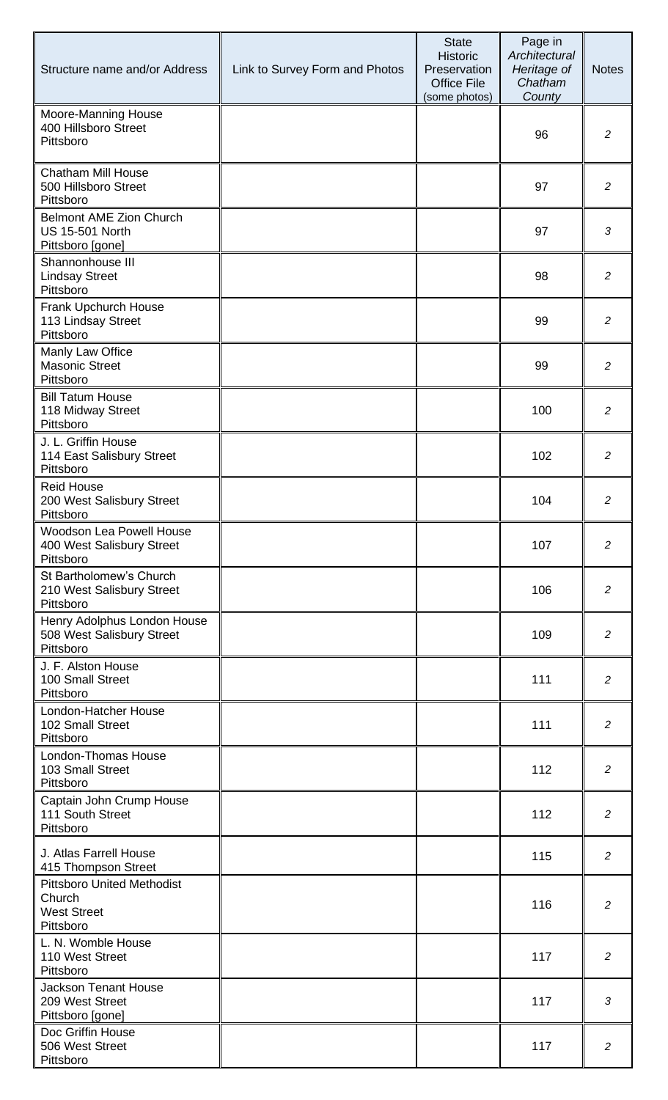| Structure name and/or Address                                                  | Link to Survey Form and Photos | <b>State</b><br><b>Historic</b><br>Preservation<br><b>Office File</b><br>(some photos) | Page in<br>Architectural<br>Heritage of<br>Chatham<br>County | <b>Notes</b>   |
|--------------------------------------------------------------------------------|--------------------------------|----------------------------------------------------------------------------------------|--------------------------------------------------------------|----------------|
| Moore-Manning House<br>400 Hillsboro Street<br>Pittsboro                       |                                |                                                                                        | 96                                                           | $\overline{2}$ |
| <b>Chatham Mill House</b><br>500 Hillsboro Street<br>Pittsboro                 |                                |                                                                                        | 97                                                           | $\overline{2}$ |
| <b>Belmont AME Zion Church</b><br><b>US 15-501 North</b><br>Pittsboro [gone]   |                                |                                                                                        | 97                                                           | 3              |
| Shannonhouse III<br><b>Lindsay Street</b><br>Pittsboro                         |                                |                                                                                        | 98                                                           | $\overline{2}$ |
| Frank Upchurch House<br>113 Lindsay Street<br>Pittsboro                        |                                |                                                                                        | 99                                                           | 2              |
| Manly Law Office<br><b>Masonic Street</b><br>Pittsboro                         |                                |                                                                                        | 99                                                           | 2              |
| <b>Bill Tatum House</b><br>118 Midway Street<br>Pittsboro                      |                                |                                                                                        | 100                                                          | $\overline{2}$ |
| J. L. Griffin House<br>114 East Salisbury Street<br>Pittsboro                  |                                |                                                                                        | 102                                                          | $\overline{2}$ |
| <b>Reid House</b><br>200 West Salisbury Street<br>Pittsboro                    |                                |                                                                                        | 104                                                          | $\overline{c}$ |
| <b>Woodson Lea Powell House</b><br>400 West Salisbury Street<br>Pittsboro      |                                |                                                                                        | 107                                                          | $\overline{2}$ |
| St Bartholomew's Church<br>210 West Salisbury Street<br>Pittsboro              |                                |                                                                                        | 106                                                          | $\overline{c}$ |
| Henry Adolphus London House<br>508 West Salisbury Street<br>Pittsboro          |                                |                                                                                        | 109                                                          | $\overline{2}$ |
| J. F. Alston House<br>100 Small Street<br>Pittsboro                            |                                |                                                                                        | 111                                                          | $\overline{2}$ |
| London-Hatcher House<br>102 Small Street<br>Pittsboro                          |                                |                                                                                        | 111                                                          | $\overline{2}$ |
| London-Thomas House<br>103 Small Street<br>Pittsboro                           |                                |                                                                                        | 112                                                          | $\overline{2}$ |
| Captain John Crump House<br>111 South Street<br>Pittsboro                      |                                |                                                                                        | 112                                                          | $\overline{2}$ |
| J. Atlas Farrell House<br>415 Thompson Street                                  |                                |                                                                                        | 115                                                          | $\overline{2}$ |
| <b>Pittsboro United Methodist</b><br>Church<br><b>West Street</b><br>Pittsboro |                                |                                                                                        | 116                                                          | $\overline{2}$ |
| L. N. Womble House<br>110 West Street<br>Pittsboro                             |                                |                                                                                        | 117                                                          | 2              |
| <b>Jackson Tenant House</b><br>209 West Street<br>Pittsboro [gone]             |                                |                                                                                        | 117                                                          | 3              |
| Doc Griffin House<br>506 West Street<br>Pittsboro                              |                                |                                                                                        | 117                                                          | $\overline{2}$ |